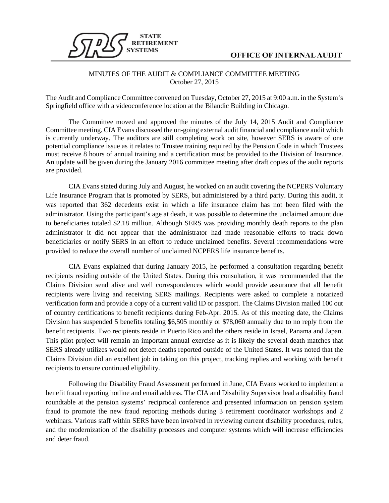

## MINUTES OF THE AUDIT & COMPLIANCE COMMITTEE MEETING October 27, 2015

The Audit and Compliance Committee convened on Tuesday, October 27, 2015 at 9:00 a.m. in the System's Springfield office with a videoconference location at the Bilandic Building in Chicago.

The Committee moved and approved the minutes of the July 14, 2015 Audit and Compliance Committee meeting. CIA Evans discussed the on-going external audit financial and compliance audit which is currently underway. The auditors are still completing work on site, however SERS is aware of one potential compliance issue as it relates to Trustee training required by the Pension Code in which Trustees must receive 8 hours of annual training and a certification must be provided to the Division of Insurance. An update will be given during the January 2016 committee meeting after draft copies of the audit reports are provided.

CIA Evans stated during July and August, he worked on an audit covering the NCPERS Voluntary Life Insurance Program that is promoted by SERS, but administered by a third party. During this audit, it was reported that 362 decedents exist in which a life insurance claim has not been filed with the administrator. Using the participant's age at death, it was possible to determine the unclaimed amount due to beneficiaries totaled \$2.18 million. Although SERS was providing monthly death reports to the plan administrator it did not appear that the administrator had made reasonable efforts to track down beneficiaries or notify SERS in an effort to reduce unclaimed benefits. Several recommendations were provided to reduce the overall number of unclaimed NCPERS life insurance benefits.

CIA Evans explained that during January 2015, he performed a consultation regarding benefit recipients residing outside of the United States. During this consultation, it was recommended that the Claims Division send alive and well correspondences which would provide assurance that all benefit recipients were living and receiving SERS mailings. Recipients were asked to complete a notarized verification form and provide a copy of a current valid ID or passport. The Claims Division mailed 100 out of country certifications to benefit recipients during Feb-Apr. 2015. As of this meeting date, the Claims Division has suspended 5 benefits totaling \$6,505 monthly or \$78,060 annually due to no reply from the benefit recipients. Two recipients reside in Puerto Rico and the others reside in Israel, Panama and Japan. This pilot project will remain an important annual exercise as it is likely the several death matches that SERS already utilizes would not detect deaths reported outside of the United States. It was noted that the Claims Division did an excellent job in taking on this project, tracking replies and working with benefit recipients to ensure continued eligibility.

Following the Disability Fraud Assessment performed in June, CIA Evans worked to implement a benefit fraud reporting hotline and email address. The CIA and Disability Supervisor lead a disability fraud roundtable at the pension systems' reciprocal conference and presented information on pension system fraud to promote the new fraud reporting methods during 3 retirement coordinator workshops and 2 webinars. Various staff within SERS have been involved in reviewing current disability procedures, rules, and the modernization of the disability processes and computer systems which will increase efficiencies and deter fraud.